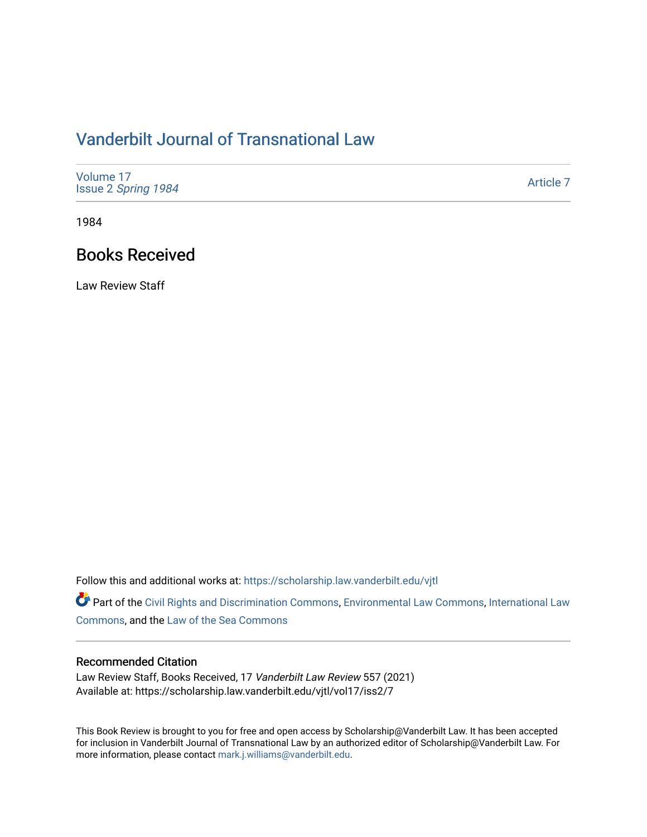## [Vanderbilt Journal of Transnational Law](https://scholarship.law.vanderbilt.edu/vjtl)

| Volume 17<br>Issue 2 Spring 1984 | Article 7 |
|----------------------------------|-----------|
|----------------------------------|-----------|

1984

### Books Received

Law Review Staff

Follow this and additional works at: [https://scholarship.law.vanderbilt.edu/vjtl](https://scholarship.law.vanderbilt.edu/vjtl?utm_source=scholarship.law.vanderbilt.edu%2Fvjtl%2Fvol17%2Fiss2%2F7&utm_medium=PDF&utm_campaign=PDFCoverPages) 

Part of the [Civil Rights and Discrimination Commons,](http://network.bepress.com/hgg/discipline/585?utm_source=scholarship.law.vanderbilt.edu%2Fvjtl%2Fvol17%2Fiss2%2F7&utm_medium=PDF&utm_campaign=PDFCoverPages) [Environmental Law Commons](http://network.bepress.com/hgg/discipline/599?utm_source=scholarship.law.vanderbilt.edu%2Fvjtl%2Fvol17%2Fiss2%2F7&utm_medium=PDF&utm_campaign=PDFCoverPages), [International Law](http://network.bepress.com/hgg/discipline/609?utm_source=scholarship.law.vanderbilt.edu%2Fvjtl%2Fvol17%2Fiss2%2F7&utm_medium=PDF&utm_campaign=PDFCoverPages)  [Commons](http://network.bepress.com/hgg/discipline/609?utm_source=scholarship.law.vanderbilt.edu%2Fvjtl%2Fvol17%2Fiss2%2F7&utm_medium=PDF&utm_campaign=PDFCoverPages), and the [Law of the Sea Commons](http://network.bepress.com/hgg/discipline/855?utm_source=scholarship.law.vanderbilt.edu%2Fvjtl%2Fvol17%2Fiss2%2F7&utm_medium=PDF&utm_campaign=PDFCoverPages)

#### Recommended Citation

Law Review Staff, Books Received, 17 Vanderbilt Law Review 557 (2021) Available at: https://scholarship.law.vanderbilt.edu/vjtl/vol17/iss2/7

This Book Review is brought to you for free and open access by Scholarship@Vanderbilt Law. It has been accepted for inclusion in Vanderbilt Journal of Transnational Law by an authorized editor of Scholarship@Vanderbilt Law. For more information, please contact [mark.j.williams@vanderbilt.edu](mailto:mark.j.williams@vanderbilt.edu).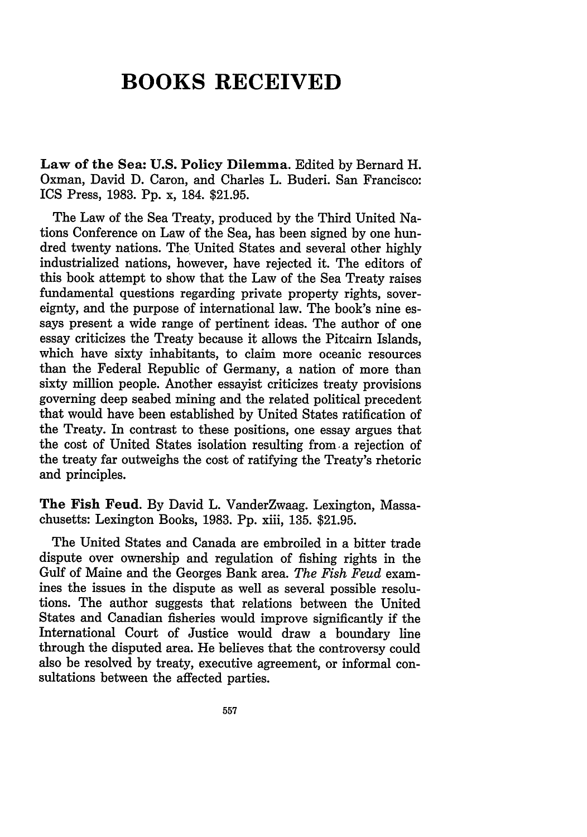# **BOOKS RECEIVED**

**Law of the Sea: U.S. Policy Dilemma.** Edited **by** Bernard H. Oxman, David **D.** Caron, and Charles L. Buderi. San Francisco: ICS Press, 1983. **Pp.** x, 184. \$21.95.

The Law of the Sea Treaty, produced by the Third United Nations Conference on Law of the Sea, has been signed by one hundred twenty nations. The United States and several other highly industrialized nations, however, have rejected it. The editors of this book attempt to show that the Law of the Sea Treaty raises fundamental questions regarding private property rights, sovereignty, and the purpose of international law. The book's nine essays present a wide range of pertinent ideas. The author of one essay criticizes the Treaty because it allows the Pitcairn Islands, which have sixty inhabitants, to claim more oceanic resources than the Federal Republic of Germany, a nation of more than sixty million people. Another essayist criticizes treaty provisions governing deep seabed mining and the related political precedent that would have been established by United States ratification of the Treaty. In contrast to these positions, one essay argues that the cost of United States isolation resulting from a rejection of the treaty far outweighs the cost of ratifying the Treaty's rhetoric and principles.

The Fish Feud. By David L. VanderZwaag. Lexington, Massachusetts: Lexington Books, 1983. **Pp.** xiii, 135. \$21.95.

The United States and Canada are embroiled in a bitter trade dispute over ownership and regulation of fishing rights in the Gulf of Maine and the Georges Bank area. *The Fish Feud* examines the issues in the dispute as well as several possible resolutions. The author suggests that relations between the United States and Canadian fisheries would improve significantly if the International Court of Justice would draw a boundary line through the disputed area. He believes that the controversy could also be resolved by treaty, executive agreement, or informal consultations between the affected parties.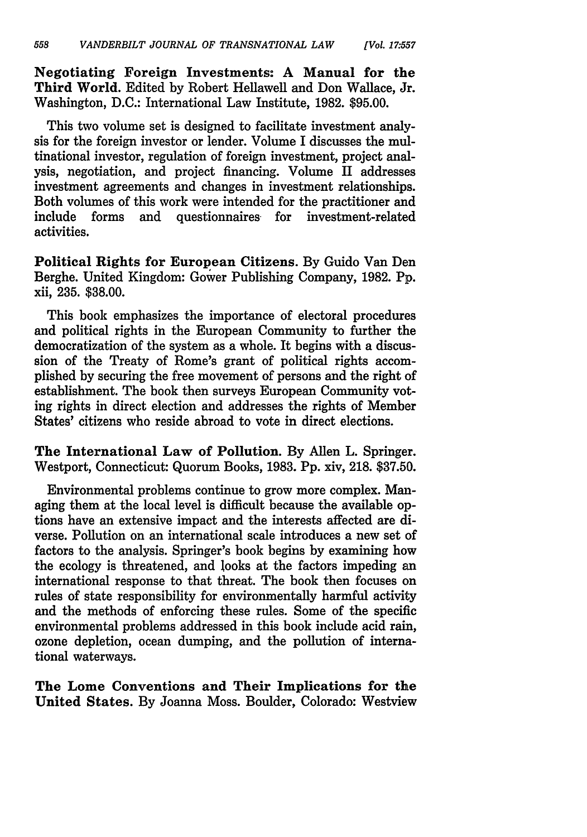**Negotiating Foreign Investments: A Manual for the Third World. Edited by** Robert Hellawell and Don Wallace, Jr. **Washington, D.C.:** International Law Institute, **1982. \$95.00.**

This two volume set is designed to facilitate investment analysis for the foreign investor or lender. Volume I discusses the multinational investor, regulation of foreign investment, project analysis, negotiation, and project financing. Volume II addresses investment agreements and changes in investment relationships. Both volumes of this work were intended for the practitioner and include forms and questionnaires for investment-related activities.

**Political Rights for European Citizens. By Guido** Van Den Berghe. United Kingdom: Gower Publishing Company, **1982. Pp.** xii, **235. \$38.00.**

This book emphasizes the importance of electoral procedures and political rights in the European Community to further the democratization of the system as a whole. It begins with a discussion of the Treaty of Rome's grant of political rights accomplished by securing the free movement of persons and the right of establishment. The book then surveys European Community voting rights in direct election and addresses the rights of Member States' citizens who reside abroad to vote in direct elections.

**The International Law** of Pollution. By Allen L. Springer. Westport, Connecticut: Quorum Books, 1983. Pp. xiv, 218. \$37.50.

Environmental problems continue to grow more complex. Managing them at the local level is difficult because the available options have an extensive impact and the interests affected are diverse. Pollution on an international scale introduces a new set of factors to the analysis. Springer's book begins **by** examining how the ecology is threatened, and looks at the factors impeding an international response to that threat. The book then focuses on rules of state responsibility for environmentally harmful activity and the methods of enforcing these rules. Some of the specific environmental problems addressed in this book include acid rain, ozone depletion, ocean dumping, and the pollution of international waterways.

**The Lome** Conventions and Their Implications for the United States. **By** Joanna Moss. Boulder, Colorado: Westview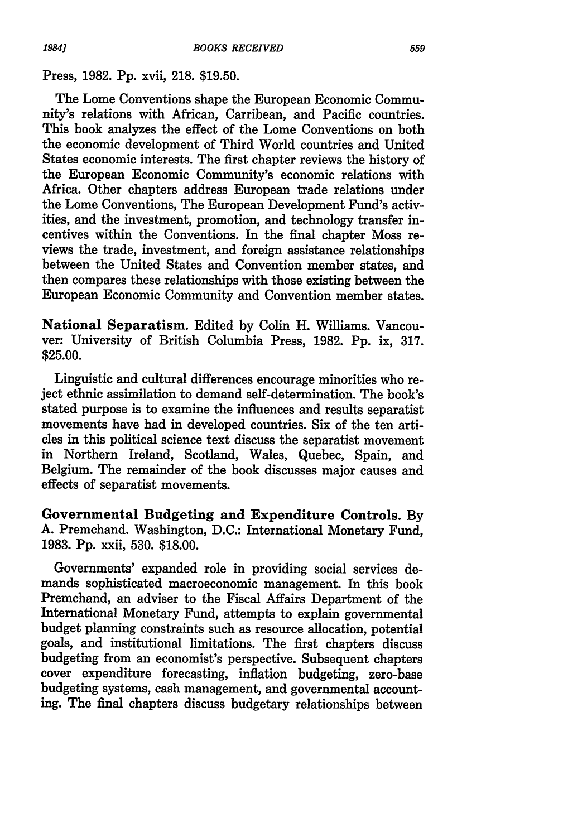#### Press, **1982. Pp.** xvii, **218. \$19.50.**

The Lome Conventions shape the European Economic Community's relations with African, Carribean, and Pacific countries. This book analyzes the effect of the Lome Conventions on both the economic development of Third World countries and United States economic interests. The first chapter reviews the history of the European Economic Community's economic relations with Africa. Other chapters address European trade relations under the Lome Conventions, The European Development Fund's activities, and the investment, promotion, and technology transfer incentives within the Conventions. **In** the final chapter Moss reviews the trade, investment, and foreign assistance relationships between the United States and Convention member states, and then compares these relationships with those existing between the European Economic Community and Convention member states.

National Separatism. Edited **by** Colin H. Williams. Vancouver: University of British Columbia Press, **1982. Pp.** ix, **317. \$25.00.**

Linguistic and cultural differences encourage minorities who reject ethnic assimilation to demand self-determination. The book's stated purpose is to examine the influences and results separatist movements have had in developed countries. Six of the ten articles in this political science text discuss the separatist movement in Northern Ireland, Scotland, Wales, Quebec, Spain, and Belgium. The remainder of the book discusses major causes and effects of separatist movements.

Governmental Budgeting and Expenditure Controls. **By A.** Premchand. Washington, **D.C.:** International Monetary Fund, **1983. Pp.** xxii, **530. \$18.00.**

Governments' expanded role in providing social services demands sophisticated macroeconomic management. In this book Premchand, an adviser to the Fiscal Affairs Department of the International Monetary Fund, attempts to explain governmental budget planning constraints such as resource allocation, potential goals, and institutional limitations. The first chapters discuss budgeting from an economist's perspective. Subsequent chapters cover expenditure forecasting, inflation budgeting, zero-base budgeting systems, cash management, and governmental accounting. The final chapters discuss budgetary relationships between

*19841*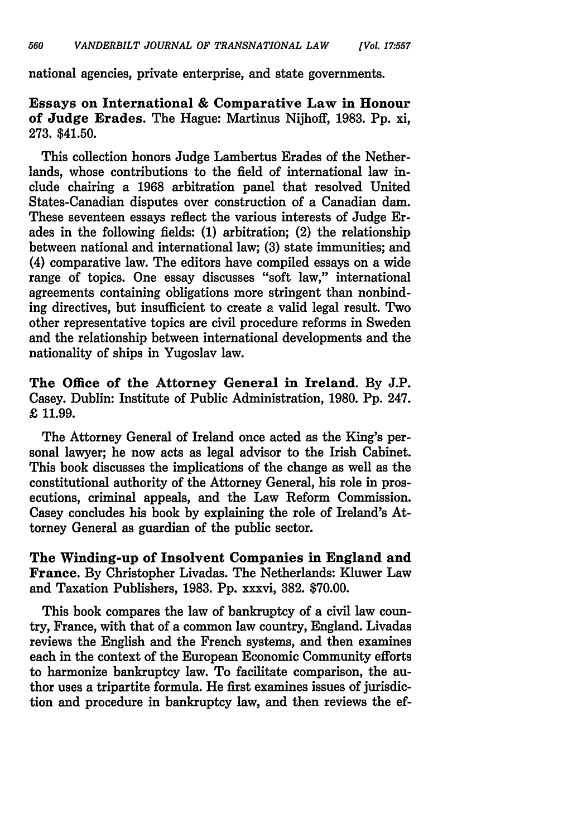national agencies, private enterprise, and state governments.

Essays on International & Comparative Law in Honour of Judge Erades. The Hague: Martinus Nijhoff, 1983. **Pp.** xi, 273. \$41.50.

This collection honors Judge Lambertus Erades of the Netherlands, whose contributions to the field of international law include chairing a 1968 arbitration panel that resolved United States-Canadian disputes over construction of a Canadian dam. These seventeen essays reflect the various interests of Judge Erades in the following fields: (1) arbitration; (2) the relationship between national and international law; (3) state immunities; and (4) comparative law. The editors have compiled essays on a wide range of topics. One essay discusses "soft law," international agreements containing obligations more stringent than nonbinding directives, but insufficient to create a valid legal result. Two other representative topics are civil procedure reforms in Sweden and the relationship between international developments and the nationality of ships in Yugoslav law.

The Office of the Attorney General in Ireland. By J.P. Casey. Dublin: Institute of Public Administration, 1980. Pp. 247. £ 11.99.

The Attorney General of Ireland once acted as the King's personal lawyer; he now acts as legal advisor to the Irish Cabinet. This book discusses the implications of the change as well as the constitutional authority of the Attorney General, his role in prosecutions, criminal appeals, and the Law Reform Commission. Casey concludes his book by explaining the role of Ireland's Attorney General as guardian of the public sector.

**The** Winding-up of **Insolvent** Companies in **England and** France. By Christopher Livadas. The Netherlands: Kluwer Law and Taxation Publishers, 1983. Pp. xxxvi, 382. \$70.00.

This book compares the law of bankruptcy of a civil law country, France, with that of a common law country, England. Livadas reviews the English and the French systems, and then examines each in the context of the European Economic Community efforts to harmonize bankruptcy law. To facilitate comparison, the author uses a tripartite formula. He first examines issues of jurisdiction and procedure in bankruptcy law, and then reviews the ef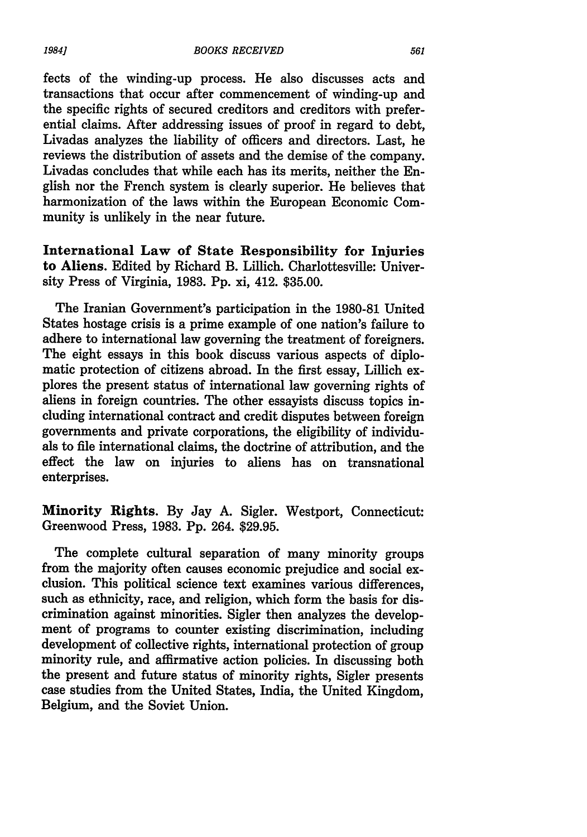fects of the winding-up process. He also discusses acts and transactions that occur after commencement of winding-up and the specific rights of secured creditors and creditors with preferential claims. After addressing issues of proof in regard to debt, Livadas analyzes the liability of officers and directors. Last, he reviews the distribution of assets and the demise of the company. Livadas concludes that while each has its merits, neither the English nor the French system is clearly superior. He believes that harmonization of the laws within the European Economic Community is unlikely in the near future.

International Law of State Responsibility for Injuries to Aliens. Edited by Richard B. Lillich. Charlottesville: University Press of Virginia, 1983. Pp. xi, 412. \$35.00.

The Iranian Government's participation in the 1980-81 United States hostage crisis is a prime example of one nation's failure to adhere to international law governing the treatment of foreigners. The eight essays in this book discuss various aspects of diplomatic protection of citizens abroad. In the first essay, Lillich explores the present status of international law governing rights of aliens in foreign countries. The other essayists discuss topics including international contract and credit disputes between foreign governments and private corporations, the eligibility of individuals to file international claims, the doctrine of attribution, and the effect the law on injuries to aliens has on transnational enterprises.

Minority Rights. By Jay A. Sigler. Westport, Connecticut: Greenwood Press, 1983. Pp. 264. \$29.95.

The complete cultural separation of many minority groups from the majority often causes economic prejudice and social exclusion. This political science text examines various differences, such as ethnicity, race, and religion, which form the basis for discrimination against minorities. Sigler then analyzes the development of programs to counter existing discrimination, including development of collective rights, international protection of group minority rule, and affirmative action policies. In discussing both the present and future status of minority rights, Sigler presents case studies from the United States, India, the United Kingdom, Belgium, and the Soviet Union.